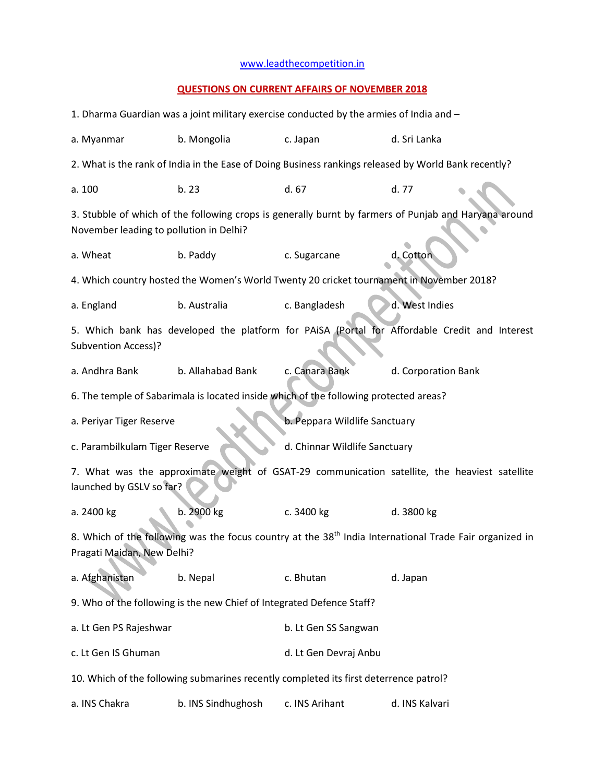## [www.leadthecompetition.in](http://www.leadthecompetition.in/)

## **QUESTIONS ON CURRENT AFFAIRS OF NOVEMBER 2018**

| 1. Dharma Guardian was a joint military exercise conducted by the armies of India and -                                                           |                                                                                       |                       |                                                                                          |  |  |  |
|---------------------------------------------------------------------------------------------------------------------------------------------------|---------------------------------------------------------------------------------------|-----------------------|------------------------------------------------------------------------------------------|--|--|--|
| a. Myanmar                                                                                                                                        | b. Mongolia<br>c. Japan<br>d. Sri Lanka                                               |                       |                                                                                          |  |  |  |
| 2. What is the rank of India in the Ease of Doing Business rankings released by World Bank recently?                                              |                                                                                       |                       |                                                                                          |  |  |  |
| a. 100                                                                                                                                            | b. 23                                                                                 | d. 67                 | d. 77                                                                                    |  |  |  |
| 3. Stubble of which of the following crops is generally burnt by farmers of Punjab and Haryana around<br>November leading to pollution in Delhi?  |                                                                                       |                       |                                                                                          |  |  |  |
| a. Wheat                                                                                                                                          | b. Paddy                                                                              | c. Sugarcane          | d. Cotton                                                                                |  |  |  |
|                                                                                                                                                   |                                                                                       |                       | 4. Which country hosted the Women's World Twenty 20 cricket tournament in November 2018? |  |  |  |
| a. England                                                                                                                                        | b. Australia                                                                          | c. Bangladesh         | d. West Indies                                                                           |  |  |  |
| 5. Which bank has developed the platform for PAISA (Portal for Affordable Credit and Interest<br>Subvention Access)?                              |                                                                                       |                       |                                                                                          |  |  |  |
| a. Andhra Bank                                                                                                                                    | b. Allahabad Bank                                                                     | c. Canara Bank        | d. Corporation Bank                                                                      |  |  |  |
|                                                                                                                                                   | 6. The temple of Sabarimala is located inside which of the following protected areas? |                       |                                                                                          |  |  |  |
| b. Peppara Wildlife Sanctuary<br>a. Periyar Tiger Reserve                                                                                         |                                                                                       |                       |                                                                                          |  |  |  |
| c. Parambilkulam Tiger Reserve<br>d. Chinnar Wildlife Sanctuary                                                                                   |                                                                                       |                       |                                                                                          |  |  |  |
| 7. What was the approximate weight of GSAT-29 communication satellite, the heaviest satellite<br>launched by GSLV so far?                         |                                                                                       |                       |                                                                                          |  |  |  |
| a. 2400 kg                                                                                                                                        | b. 2900 kg                                                                            | c. 3400 kg            | d. 3800 kg                                                                               |  |  |  |
| 8. Which of the following was the focus country at the 38 <sup>th</sup> India International Trade Fair organized in<br>Pragati Maidan, New Delhi? |                                                                                       |                       |                                                                                          |  |  |  |
| a. Afghanistan                                                                                                                                    | b. Nepal                                                                              | c. Bhutan             | d. Japan                                                                                 |  |  |  |
| 9. Who of the following is the new Chief of Integrated Defence Staff?                                                                             |                                                                                       |                       |                                                                                          |  |  |  |
| a. Lt Gen PS Rajeshwar                                                                                                                            |                                                                                       | b. Lt Gen SS Sangwan  |                                                                                          |  |  |  |
|                                                                                                                                                   |                                                                                       |                       |                                                                                          |  |  |  |
| c. Lt Gen IS Ghuman                                                                                                                               |                                                                                       | d. Lt Gen Devraj Anbu |                                                                                          |  |  |  |
|                                                                                                                                                   | 10. Which of the following submarines recently completed its first deterrence patrol? |                       |                                                                                          |  |  |  |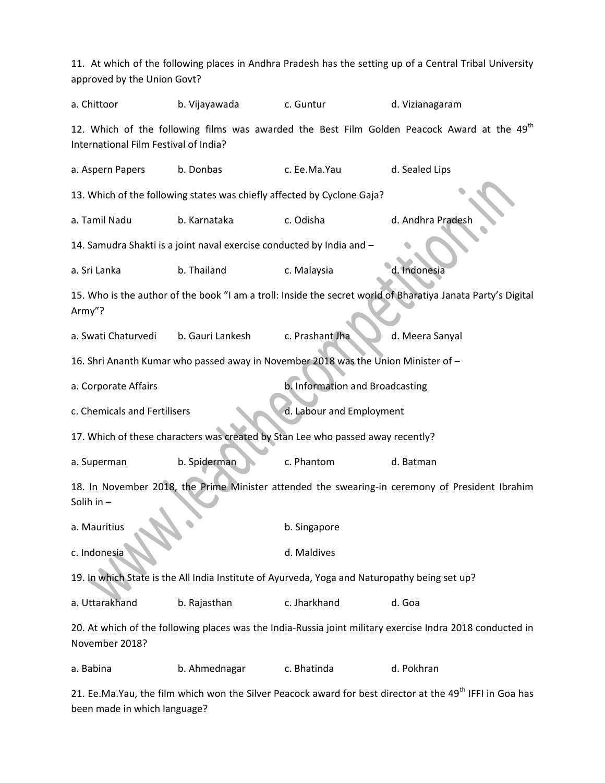| approved by the Union Govt?                                                                                                 |                                                                                    |                                 | 11. At which of the following places in Andhra Pradesh has the setting up of a Central Tribal University             |  |  |  |
|-----------------------------------------------------------------------------------------------------------------------------|------------------------------------------------------------------------------------|---------------------------------|----------------------------------------------------------------------------------------------------------------------|--|--|--|
| a. Chittoor                                                                                                                 | b. Vijayawada                                                                      | c. Guntur                       | d. Vizianagaram                                                                                                      |  |  |  |
| International Film Festival of India?                                                                                       |                                                                                    |                                 | 12. Which of the following films was awarded the Best Film Golden Peacock Award at the 49 <sup>th</sup>              |  |  |  |
| a. Aspern Papers                                                                                                            | b. Donbas                                                                          | c. Ee.Ma.Yau                    | d. Sealed Lips                                                                                                       |  |  |  |
|                                                                                                                             | 13. Which of the following states was chiefly affected by Cyclone Gaja?            |                                 |                                                                                                                      |  |  |  |
| a. Tamil Nadu                                                                                                               | b. Karnataka                                                                       | c. Odisha                       | d. Andhra Pradesh                                                                                                    |  |  |  |
|                                                                                                                             | 14. Samudra Shakti is a joint naval exercise conducted by India and -              |                                 |                                                                                                                      |  |  |  |
| a. Sri Lanka                                                                                                                | b. Thailand                                                                        | c. Malaysia                     | d. Indonesia                                                                                                         |  |  |  |
| Army"?                                                                                                                      |                                                                                    |                                 | 15. Who is the author of the book "I am a troll: Inside the secret world of Bharatiya Janata Party's Digital         |  |  |  |
| a. Swati Chaturvedi                                                                                                         | b. Gauri Lankesh                                                                   | c. Prashant Jha                 | d. Meera Sanyal                                                                                                      |  |  |  |
|                                                                                                                             | 16. Shri Ananth Kumar who passed away in November 2018 was the Union Minister of - |                                 |                                                                                                                      |  |  |  |
| a. Corporate Affairs                                                                                                        |                                                                                    | b. Information and Broadcasting |                                                                                                                      |  |  |  |
| c. Chemicals and Fertilisers                                                                                                |                                                                                    | d. Labour and Employment        |                                                                                                                      |  |  |  |
| 17. Which of these characters was created by Stan Lee who passed away recently?                                             |                                                                                    |                                 |                                                                                                                      |  |  |  |
| a. Superman                                                                                                                 | b. Spiderman                                                                       | c. Phantom                      | d. Batman                                                                                                            |  |  |  |
| 18. In November 2018, the Prime Minister attended the swearing-in ceremony of President Ibrahim<br>Solih in -               |                                                                                    |                                 |                                                                                                                      |  |  |  |
| a. Mauritius                                                                                                                |                                                                                    | b. Singapore                    |                                                                                                                      |  |  |  |
| c. Indonesia                                                                                                                |                                                                                    | d. Maldives                     |                                                                                                                      |  |  |  |
| 19. In which State is the All India Institute of Ayurveda, Yoga and Naturopathy being set up?                               |                                                                                    |                                 |                                                                                                                      |  |  |  |
| a. Uttarakhand                                                                                                              | b. Rajasthan                                                                       | c. Jharkhand                    | d. Goa                                                                                                               |  |  |  |
| 20. At which of the following places was the India-Russia joint military exercise Indra 2018 conducted in<br>November 2018? |                                                                                    |                                 |                                                                                                                      |  |  |  |
| a. Babina                                                                                                                   | b. Ahmednagar                                                                      | c. Bhatinda                     | d. Pokhran                                                                                                           |  |  |  |
|                                                                                                                             |                                                                                    |                                 | 21. Ee.Ma.Yau, the film which won the Silver Peacock award for best director at the 49 <sup>th</sup> IFFI in Goa has |  |  |  |

been made in which language?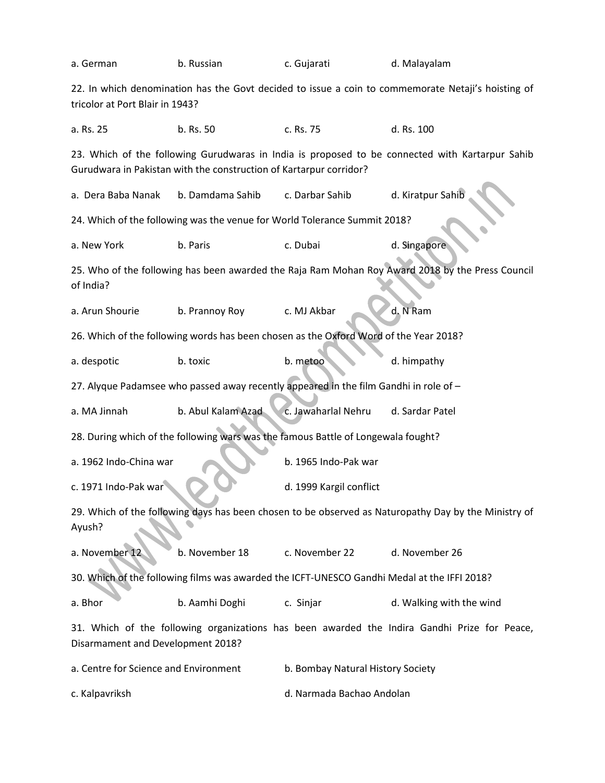| a. German                                                                                                                                                             | b. Russian                                                                            | c. Gujarati               | d. Malayalam                                                                                     |  |  |  |
|-----------------------------------------------------------------------------------------------------------------------------------------------------------------------|---------------------------------------------------------------------------------------|---------------------------|--------------------------------------------------------------------------------------------------|--|--|--|
| 22. In which denomination has the Govt decided to issue a coin to commemorate Netaji's hoisting of<br>tricolor at Port Blair in 1943?                                 |                                                                                       |                           |                                                                                                  |  |  |  |
| a. Rs. 25                                                                                                                                                             | b. Rs. 50                                                                             | c. Rs. 75                 | d. Rs. 100                                                                                       |  |  |  |
| 23. Which of the following Gurudwaras in India is proposed to be connected with Kartarpur Sahib<br>Gurudwara in Pakistan with the construction of Kartarpur corridor? |                                                                                       |                           |                                                                                                  |  |  |  |
| a. Dera Baba Nanak                                                                                                                                                    | b. Damdama Sahib                                                                      | c. Darbar Sahib           | d. Kiratpur Sahib                                                                                |  |  |  |
|                                                                                                                                                                       | 24. Which of the following was the venue for World Tolerance Summit 2018?             |                           |                                                                                                  |  |  |  |
| a. New York                                                                                                                                                           | b. Paris                                                                              | c. Dubai                  | d. Singapore                                                                                     |  |  |  |
| of India?                                                                                                                                                             |                                                                                       |                           | 25. Who of the following has been awarded the Raja Ram Mohan Roy Award 2018 by the Press Council |  |  |  |
| a. Arun Shourie                                                                                                                                                       | b. Prannoy Roy                                                                        | c. MJ Akbar               | d. N Ram                                                                                         |  |  |  |
|                                                                                                                                                                       | 26. Which of the following words has been chosen as the Oxford Word of the Year 2018? |                           |                                                                                                  |  |  |  |
| a. despotic                                                                                                                                                           | b. toxic                                                                              | b. metoo                  | d. himpathy                                                                                      |  |  |  |
|                                                                                                                                                                       | 27. Alyque Padamsee who passed away recently appeared in the film Gandhi in role of - |                           |                                                                                                  |  |  |  |
| a. MA Jinnah                                                                                                                                                          | b. Abul Kalam Azad                                                                    | c. Jawaharlal Nehru       | d. Sardar Patel                                                                                  |  |  |  |
|                                                                                                                                                                       | 28. During which of the following wars was the famous Battle of Longewala fought?     |                           |                                                                                                  |  |  |  |
| a. 1962 Indo-China war                                                                                                                                                |                                                                                       | b. 1965 Indo-Pak war      |                                                                                                  |  |  |  |
| c. 1971 Indo-Pak war                                                                                                                                                  |                                                                                       | d. 1999 Kargil conflict   |                                                                                                  |  |  |  |
| 29. Which of the following days has been chosen to be observed as Naturopathy Day by the Ministry of<br>Ayush?                                                        |                                                                                       |                           |                                                                                                  |  |  |  |
| a. November 12                                                                                                                                                        | b. November 18                                                                        | c. November 22            | d. November 26                                                                                   |  |  |  |
| 30. Which of the following films was awarded the ICFT-UNESCO Gandhi Medal at the IFFI 2018?                                                                           |                                                                                       |                           |                                                                                                  |  |  |  |
| a. Bhor                                                                                                                                                               | b. Aamhi Doghi                                                                        | c. Sinjar                 | d. Walking with the wind                                                                         |  |  |  |
| 31. Which of the following organizations has been awarded the Indira Gandhi Prize for Peace,<br>Disarmament and Development 2018?                                     |                                                                                       |                           |                                                                                                  |  |  |  |
| a. Centre for Science and Environment<br>b. Bombay Natural History Society                                                                                            |                                                                                       |                           |                                                                                                  |  |  |  |
| c. Kalpavriksh                                                                                                                                                        |                                                                                       | d. Narmada Bachao Andolan |                                                                                                  |  |  |  |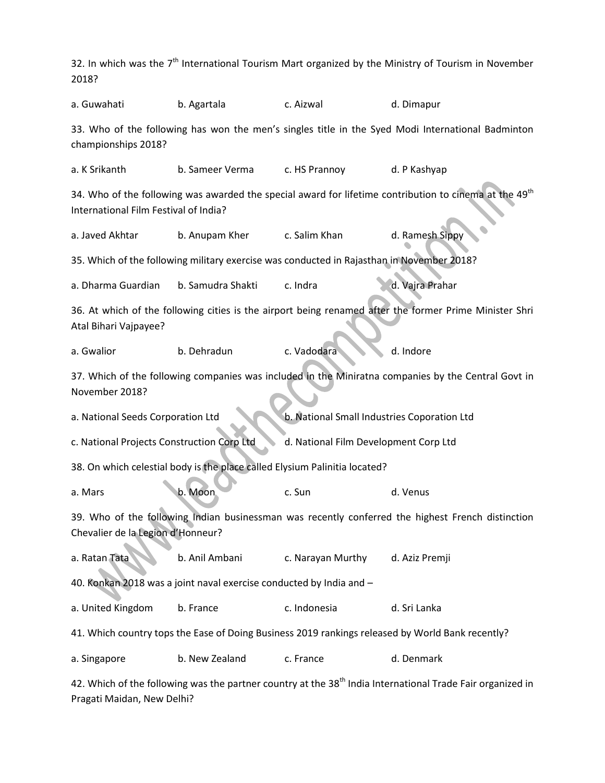32. In which was the  $7<sup>th</sup>$  International Tourism Mart organized by the Ministry of Tourism in November 2018? a. Guwahati b. Agartala c. Aizwal d. Dimapur 33. Who of the following has won the men's singles title in the Syed Modi International Badminton championships 2018? a. K Srikanth b. Sameer Verma c. HS Prannoy d. P Kashyap 34. Who of the following was awarded the special award for lifetime contribution to cinema at the  $49<sup>th</sup>$ International Film Festival of India? a. Javed Akhtar b. Anupam Kher c. Salim Khan d. Ramesh Sippy 35. Which of the following military exercise was conducted in Rajasthan in November 2018? a. Dharma Guardian b. Samudra Shakti c. Indra d. Vajra Prahar 36. At which of the following cities is the airport being renamed after the former Prime Minister Shri Atal Bihari Vajpayee? a. Gwalior b. Dehradun c. Vadodara d. Indore 37. Which of the following companies was included in the Miniratna companies by the Central Govt in November 2018? a. National Seeds Corporation Ltd b. National Small Industries Coporation Ltd c. National Projects Construction Corp Ltd d. National Film Development Corp Ltd 38. On which celestial body is the place called Elysium Palinitia located? a. Mars b. Moon c. Sun c. Sun d. Venus 39. Who of the following Indian businessman was recently conferred the highest French distinction Chevalier de la Legion d'Honneur? a. Ratan Tata b. Anil Ambani c. Narayan Murthy d. Aziz Premji 40. Konkan 2018 was a joint naval exercise conducted by India and – a. United Kingdom b. France c. Indonesia d. Sri Lanka 41. Which country tops the Ease of Doing Business 2019 rankings released by World Bank recently? a. Singapore b. New Zealand c. France d. Denmark

42. Which of the following was the partner country at the 38<sup>th</sup> India International Trade Fair organized in Pragati Maidan, New Delhi?